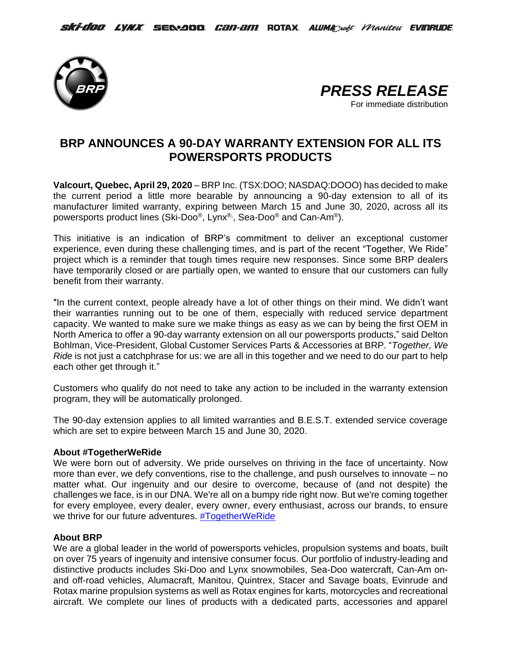



# **BRP ANNOUNCES A 90-DAY WARRANTY EXTENSION FOR ALL ITS POWERSPORTS PRODUCTS**

**Valcourt, Quebec, April 29, 2020** – BRP Inc. (TSX:DOO; NASDAQ:DOOO) has decided to make the current period a little more bearable by announcing a 90-day extension to all of its manufacturer limited warranty, expiring between March 15 and June 30, 2020, across all its powersports product lines (Ski-Doo®, Lynx®, , Sea-Doo® and Can-Am®).

This initiative is an indication of BRP's commitment to deliver an exceptional customer experience, even during these challenging times, and is part of the recent "Together, We Ride" project which is a reminder that tough times require new responses. Since some BRP dealers have temporarily closed or are partially open, we wanted to ensure that our customers can fully benefit from their warranty.

″In the current context, people already have a lot of other things on their mind. We didn't want their warranties running out to be one of them, especially with reduced service department capacity. We wanted to make sure we make things as easy as we can by being the first OEM in North America to offer a 90-day warranty extension on all our powersports products," said Delton Bohlman, Vice-President, Global Customer Services Parts & Accessories at BRP. "*Together, We Ride* is not just a catchphrase for us: we are all in this together and we need to do our part to help each other get through it."

Customers who qualify do not need to take any action to be included in the warranty extension program, they will be automatically prolonged.

The 90-day extension applies to all limited warranties and B.E.S.T. extended service coverage which are set to expire between March 15 and June 30, 2020.

## **About #TogetherWeRide**

We were born out of adversity. We pride ourselves on thriving in the face of uncertainty. Now more than ever, we defy conventions, rise to the challenge, and push ourselves to innovate – no matter what. Our ingenuity and our desire to overcome, because of (and not despite) the challenges we face, is in our DNA. We're all on a bumpy ride right now. But we're coming together for every employee, every dealer, every owner, every enthusiast, across our brands, to ensure we thrive for our future adventures. [#TogetherWeRide](https://www.youtube.com/watch?v=yzscS0UVzUI)

### **About BRP**

We are a global leader in the world of powersports vehicles, propulsion systems and boats, built on over 75 years of ingenuity and intensive consumer focus. Our portfolio of industry-leading and distinctive products includes Ski-Doo and Lynx snowmobiles, Sea-Doo watercraft, Can-Am onand off-road vehicles, Alumacraft, Manitou, Quintrex, Stacer and Savage boats, Evinrude and Rotax marine propulsion systems as well as Rotax engines for karts, motorcycles and recreational aircraft. We complete our lines of products with a dedicated parts, accessories and apparel